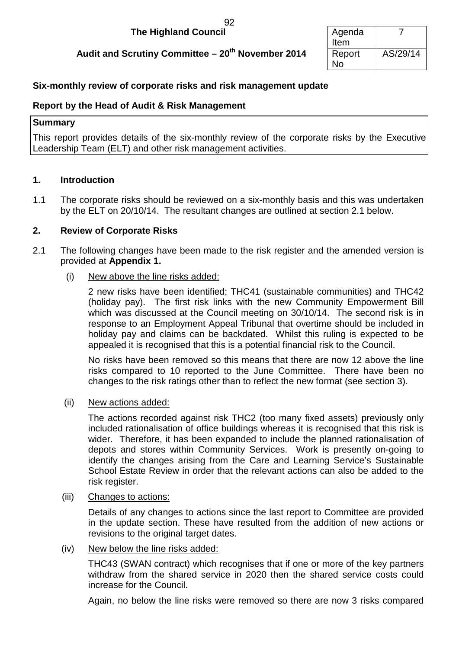#### **The Highland Council** 92

## **Audit and Scrutiny Committee – 20<sup>th</sup> November 2014**

| Agenda |          |
|--------|----------|
| Item   |          |
| Report | AS/29/14 |
| No     |          |

## **Six-monthly review of corporate risks and risk management update**

#### **Report by the Head of Audit & Risk Management**

#### **Summary**

This report provides details of the six-monthly review of the corporate risks by the Executive Leadership Team (ELT) and other risk management activities.

#### **1. Introduction**

1.1 The corporate risks should be reviewed on a six-monthly basis and this was undertaken by the ELT on 20/10/14. The resultant changes are outlined at section 2.1 below.

### **2. Review of Corporate Risks**

- 2.1 The following changes have been made to the risk register and the amended version is provided at **Appendix 1.**
	- (i) New above the line risks added:

2 new risks have been identified; THC41 (sustainable communities) and THC42 (holiday pay). The first risk links with the new Community Empowerment Bill which was discussed at the Council meeting on 30/10/14. The second risk is in response to an Employment Appeal Tribunal that overtime should be included in holiday pay and claims can be backdated. Whilst this ruling is expected to be appealed it is recognised that this is a potential financial risk to the Council.

No risks have been removed so this means that there are now 12 above the line risks compared to 10 reported to the June Committee. There have been no changes to the risk ratings other than to reflect the new format (see section 3).

(ii) New actions added:

The actions recorded against risk THC2 (too many fixed assets) previously only included rationalisation of office buildings whereas it is recognised that this risk is wider. Therefore, it has been expanded to include the planned rationalisation of depots and stores within Community Services. Work is presently on-going to identify the changes arising from the Care and Learning Service's Sustainable School Estate Review in order that the relevant actions can also be added to the risk register.

(iii) Changes to actions:

Details of any changes to actions since the last report to Committee are provided in the update section. These have resulted from the addition of new actions or revisions to the original target dates.

(iv) New below the line risks added:

THC43 (SWAN contract) which recognises that if one or more of the key partners withdraw from the shared service in 2020 then the shared service costs could increase for the Council.

Again, no below the line risks were removed so there are now 3 risks compared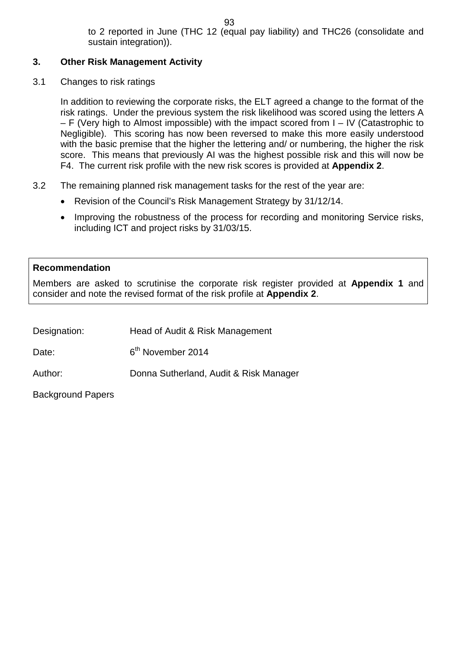to 2 reported in June (THC 12 (equal pay liability) and THC26 (consolidate and sustain integration)).

## **3. Other Risk Management Activity**

3.1 Changes to risk ratings

In addition to reviewing the corporate risks, the ELT agreed a change to the format of the risk ratings. Under the previous system the risk likelihood was scored using the letters A – F (Very high to Almost impossible) with the impact scored from I – IV (Catastrophic to Negligible). This scoring has now been reversed to make this more easily understood with the basic premise that the higher the lettering and/ or numbering, the higher the risk score. This means that previously AI was the highest possible risk and this will now be F4. The current risk profile with the new risk scores is provided at **Appendix 2**.

- 3.2 The remaining planned risk management tasks for the rest of the year are:
	- Revision of the Council's Risk Management Strategy by 31/12/14.
	- Improving the robustness of the process for recording and monitoring Service risks, including ICT and project risks by 31/03/15.

## **Recommendation**

Members are asked to scrutinise the corporate risk register provided at **Appendix 1** and consider and note the revised format of the risk profile at **Appendix 2**.

Designation: Head of Audit & Risk Management

Date: 6<sup>th</sup> November 2014

Author: Donna Sutherland, Audit & Risk Manager

Background Papers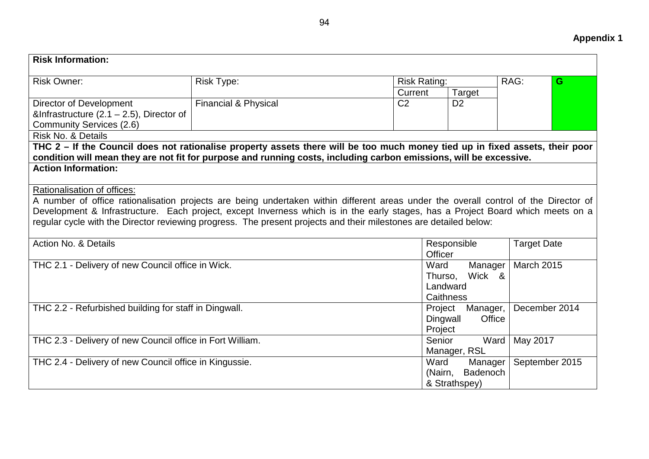| <b>Risk Information:</b>                                                                                                             |                                 |                |                        |          |                    |   |
|--------------------------------------------------------------------------------------------------------------------------------------|---------------------------------|----------------|------------------------|----------|--------------------|---|
| <b>Risk Owner:</b>                                                                                                                   | <b>Risk Type:</b>               |                | <b>Risk Rating:</b>    |          | RAG:               | G |
|                                                                                                                                      |                                 | Current        |                        | Target   |                    |   |
| <b>Director of Development</b>                                                                                                       | <b>Financial &amp; Physical</b> | C <sub>2</sub> | D <sub>2</sub>         |          |                    |   |
| &Infrastructure $(2.1 - 2.5)$ , Director of                                                                                          |                                 |                |                        |          |                    |   |
| <b>Community Services (2.6)</b>                                                                                                      |                                 |                |                        |          |                    |   |
| Risk No. & Details                                                                                                                   |                                 |                |                        |          |                    |   |
| THC 2 – If the Council does not rationalise property assets there will be too much money tied up in fixed assets, their poor         |                                 |                |                        |          |                    |   |
| condition will mean they are not fit for purpose and running costs, including carbon emissions, will be excessive.                   |                                 |                |                        |          |                    |   |
| <b>Action Information:</b>                                                                                                           |                                 |                |                        |          |                    |   |
|                                                                                                                                      |                                 |                |                        |          |                    |   |
| Rationalisation of offices:                                                                                                          |                                 |                |                        |          |                    |   |
| A number of office rationalisation projects are being undertaken within different areas under the overall control of the Director of |                                 |                |                        |          |                    |   |
| Development & Infrastructure. Each project, except Inverness which is in the early stages, has a Project Board which meets on a      |                                 |                |                        |          |                    |   |
| regular cycle with the Director reviewing progress. The present projects and their milestones are detailed below:                    |                                 |                |                        |          |                    |   |
| Action No. & Details                                                                                                                 |                                 |                |                        |          |                    |   |
|                                                                                                                                      |                                 |                | Responsible<br>Officer |          | <b>Target Date</b> |   |
| THC 2.1 - Delivery of new Council office in Wick.                                                                                    |                                 |                | Ward                   | Manager  | <b>March 2015</b>  |   |
|                                                                                                                                      |                                 |                | Thurso,                | Wick &   |                    |   |
|                                                                                                                                      |                                 |                | Landward               |          |                    |   |
|                                                                                                                                      |                                 |                | Caithness              |          |                    |   |
| THC 2.2 - Refurbished building for staff in Dingwall.                                                                                |                                 |                | Project                | Manager, | December 2014      |   |
|                                                                                                                                      |                                 |                | Dingwall               | Office   |                    |   |
|                                                                                                                                      |                                 |                | Project                |          |                    |   |
| THC 2.3 - Delivery of new Council office in Fort William.                                                                            |                                 |                | Senior                 | Ward     | May 2017           |   |
|                                                                                                                                      |                                 |                | Manager, RSL           |          |                    |   |
| THC 2.4 - Delivery of new Council office in Kingussie.                                                                               |                                 |                | Ward                   | Manager  | September 2015     |   |
|                                                                                                                                      |                                 |                | (Nairn,                | Badenoch |                    |   |
|                                                                                                                                      |                                 |                | & Strathspey)          |          |                    |   |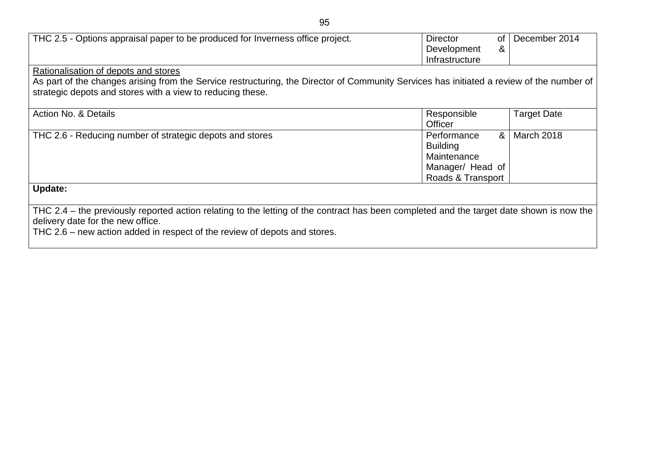| THC 2.5 - Options appraisal paper to be produced for Inverness office project.                                                                                                                                                                             | <b>Director</b><br>Development<br>Infrastructure                                       | 0f<br>& | December 2014      |
|------------------------------------------------------------------------------------------------------------------------------------------------------------------------------------------------------------------------------------------------------------|----------------------------------------------------------------------------------------|---------|--------------------|
| Rationalisation of depots and stores<br>As part of the changes arising from the Service restructuring, the Director of Community Services has initiated a review of the number of<br>strategic depots and stores with a view to reducing these.            |                                                                                        |         |                    |
| Action No. & Details                                                                                                                                                                                                                                       | Responsible<br><b>Officer</b>                                                          |         | <b>Target Date</b> |
| THC 2.6 - Reducing number of strategic depots and stores                                                                                                                                                                                                   | Performance<br><b>Building</b><br>Maintenance<br>Manager/ Head of<br>Roads & Transport | &       | March 2018         |
| <b>Update:</b>                                                                                                                                                                                                                                             |                                                                                        |         |                    |
| THC 2.4 – the previously reported action relating to the letting of the contract has been completed and the target date shown is now the<br>delivery date for the new office.<br>THC 2.6 – new action added in respect of the review of depots and stores. |                                                                                        |         |                    |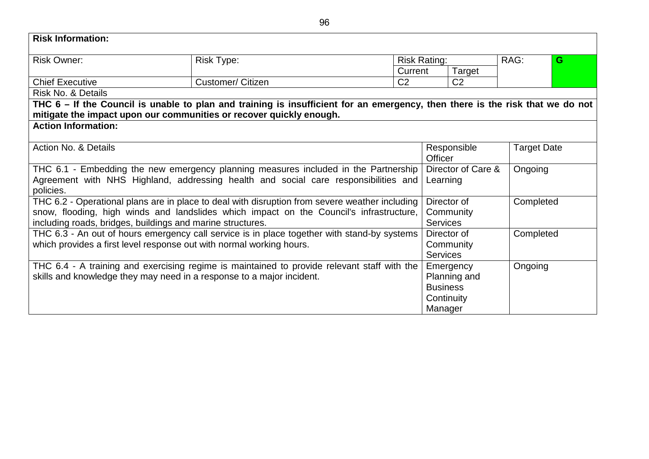| <b>Risk Information:</b>                                                                                                                                                                                                                                |                          |                |                                             |                                                                                  |           |                    |
|---------------------------------------------------------------------------------------------------------------------------------------------------------------------------------------------------------------------------------------------------------|--------------------------|----------------|---------------------------------------------|----------------------------------------------------------------------------------|-----------|--------------------|
| <b>Risk Owner:</b>                                                                                                                                                                                                                                      | <b>Risk Type:</b>        |                | <b>Risk Rating:</b>                         |                                                                                  | RAG:      | G                  |
|                                                                                                                                                                                                                                                         |                          |                | Current                                     | Target                                                                           |           |                    |
| <b>Chief Executive</b>                                                                                                                                                                                                                                  | <b>Customer/ Citizen</b> | C <sub>2</sub> |                                             | C <sub>2</sub>                                                                   |           |                    |
| Risk No. & Details                                                                                                                                                                                                                                      |                          |                |                                             |                                                                                  |           |                    |
| THC 6 – If the Council is unable to plan and training is insufficient for an emergency, then there is the risk that we do not                                                                                                                           |                          |                |                                             |                                                                                  |           |                    |
| mitigate the impact upon our communities or recover quickly enough.                                                                                                                                                                                     |                          |                |                                             |                                                                                  |           |                    |
| <b>Action Information:</b>                                                                                                                                                                                                                              |                          |                |                                             |                                                                                  |           |                    |
| Action No. & Details                                                                                                                                                                                                                                    |                          |                | <b>Officer</b>                              | Responsible                                                                      |           | <b>Target Date</b> |
| THC 6.1 - Embedding the new emergency planning measures included in the Partnership<br>Agreement with NHS Highland, addressing health and social care responsibilities and<br>policies.                                                                 |                          |                |                                             | Director of Care &<br>Learning                                                   |           | Ongoing            |
| THC 6.2 - Operational plans are in place to deal with disruption from severe weather including<br>snow, flooding, high winds and landslides which impact on the Council's infrastructure,<br>including roads, bridges, buildings and marine structures. |                          |                | <b>Services</b>                             | Director of<br>Community                                                         | Completed |                    |
| THC 6.3 - An out of hours emergency call service is in place together with stand-by systems<br>which provides a first level response out with normal working hours.                                                                                     |                          |                | Director of<br>Community<br><b>Services</b> |                                                                                  | Completed |                    |
| THC 6.4 - A training and exercising regime is maintained to provide relevant staff with the<br>skills and knowledge they may need in a response to a major incident.                                                                                    |                          |                |                                             | Emergency<br>Ongoing<br>Planning and<br><b>Business</b><br>Continuity<br>Manager |           |                    |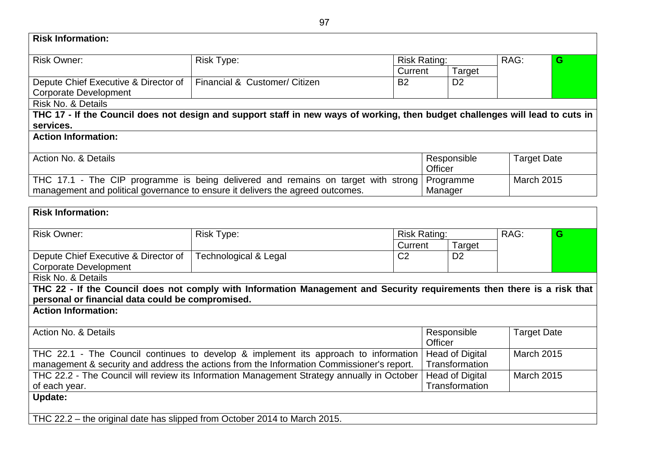| <b>Risk Information:</b>                                                                                                                                                                |                                                                                                                               |                |                     |                                          |      |                    |
|-----------------------------------------------------------------------------------------------------------------------------------------------------------------------------------------|-------------------------------------------------------------------------------------------------------------------------------|----------------|---------------------|------------------------------------------|------|--------------------|
| <b>Risk Owner:</b>                                                                                                                                                                      | Risk Type:                                                                                                                    |                | <b>Risk Rating:</b> |                                          | RAG: | G                  |
|                                                                                                                                                                                         |                                                                                                                               | Current        |                     | Target                                   |      |                    |
| Depute Chief Executive & Director of                                                                                                                                                    | Financial & Customer/ Citizen                                                                                                 | <b>B2</b>      |                     | D <sub>2</sub>                           |      |                    |
| <b>Corporate Development</b>                                                                                                                                                            |                                                                                                                               |                |                     |                                          |      |                    |
| Risk No. & Details                                                                                                                                                                      |                                                                                                                               |                |                     |                                          |      |                    |
|                                                                                                                                                                                         | THC 17 - If the Council does not design and support staff in new ways of working, then budget challenges will lead to cuts in |                |                     |                                          |      |                    |
| services.                                                                                                                                                                               |                                                                                                                               |                |                     |                                          |      |                    |
| <b>Action Information:</b>                                                                                                                                                              |                                                                                                                               |                |                     |                                          |      |                    |
| Action No. & Details                                                                                                                                                                    |                                                                                                                               |                |                     | Responsible                              |      | <b>Target Date</b> |
|                                                                                                                                                                                         |                                                                                                                               |                | Officer             |                                          |      |                    |
|                                                                                                                                                                                         | THC 17.1 - The CIP programme is being delivered and remains on target with strong                                             |                |                     | Programme                                |      | <b>March 2015</b>  |
|                                                                                                                                                                                         | management and political governance to ensure it delivers the agreed outcomes.                                                |                | Manager             |                                          |      |                    |
|                                                                                                                                                                                         |                                                                                                                               |                |                     |                                          |      |                    |
| <b>Risk Information:</b>                                                                                                                                                                |                                                                                                                               |                |                     |                                          |      |                    |
| <b>Risk Owner:</b>                                                                                                                                                                      | <b>Risk Type:</b>                                                                                                             |                | <b>Risk Rating:</b> |                                          | RAG: | G                  |
|                                                                                                                                                                                         |                                                                                                                               | Current        |                     | Target                                   |      |                    |
| Depute Chief Executive & Director of                                                                                                                                                    | <b>Technological &amp; Legal</b>                                                                                              | C <sub>2</sub> |                     | D <sub>2</sub>                           |      |                    |
| <b>Corporate Development</b>                                                                                                                                                            |                                                                                                                               |                |                     |                                          |      |                    |
| Risk No. & Details                                                                                                                                                                      |                                                                                                                               |                |                     |                                          |      |                    |
|                                                                                                                                                                                         | THC 22 - If the Council does not comply with Information Management and Security requirements then there is a risk that       |                |                     |                                          |      |                    |
| personal or financial data could be compromised.                                                                                                                                        |                                                                                                                               |                |                     |                                          |      |                    |
| <b>Action Information:</b>                                                                                                                                                              |                                                                                                                               |                |                     |                                          |      |                    |
| <b>Action No. &amp; Details</b>                                                                                                                                                         |                                                                                                                               |                |                     | Responsible                              |      | <b>Target Date</b> |
|                                                                                                                                                                                         |                                                                                                                               |                | Officer             |                                          |      |                    |
|                                                                                                                                                                                         | THC 22.1 - The Council continues to develop & implement its approach to information                                           |                |                     | <b>Head of Digital</b>                   |      | <b>March 2015</b>  |
| management & security and address the actions from the Information Commissioner's report.<br>THC 22.2 - The Council will review its Information Management Strategy annually in October |                                                                                                                               |                | Transformation      |                                          |      |                    |
|                                                                                                                                                                                         |                                                                                                                               |                |                     | <b>Head of Digital</b><br>Transformation |      | <b>March 2015</b>  |
| of each year.                                                                                                                                                                           |                                                                                                                               |                |                     |                                          |      |                    |
| <b>Update:</b>                                                                                                                                                                          |                                                                                                                               |                |                     |                                          |      |                    |
| THC 22.2 - the original date has slipped from October 2014 to March 2015.                                                                                                               |                                                                                                                               |                |                     |                                          |      |                    |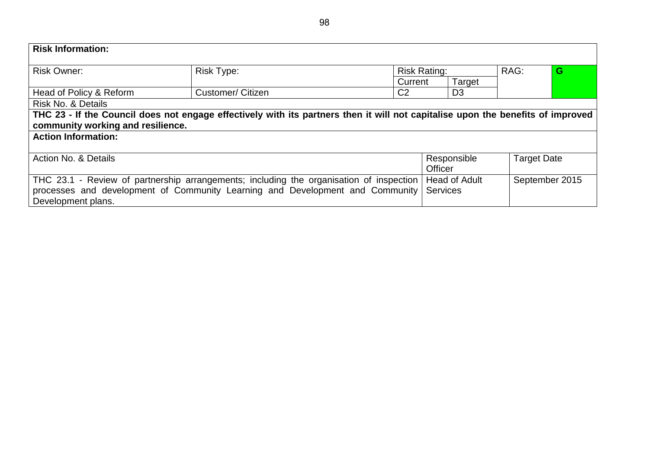| <b>Risk Information:</b>                                                                |                                                                                                                                 |                     |                      |                    |                |
|-----------------------------------------------------------------------------------------|---------------------------------------------------------------------------------------------------------------------------------|---------------------|----------------------|--------------------|----------------|
| Risk Owner:                                                                             | <b>Risk Type:</b>                                                                                                               | <b>Risk Rating:</b> |                      | RAG:               | G              |
|                                                                                         |                                                                                                                                 | Current             | Target               |                    |                |
| Head of Policy & Reform                                                                 | <b>Customer/ Citizen</b>                                                                                                        | C <sub>2</sub>      | D <sub>3</sub>       |                    |                |
| Risk No. & Details                                                                      |                                                                                                                                 |                     |                      |                    |                |
|                                                                                         | THC 23 - If the Council does not engage effectively with its partners then it will not capitalise upon the benefits of improved |                     |                      |                    |                |
| community working and resilience.                                                       |                                                                                                                                 |                     |                      |                    |                |
| <b>Action Information:</b>                                                              |                                                                                                                                 |                     |                      |                    |                |
|                                                                                         |                                                                                                                                 |                     |                      |                    |                |
| Action No. & Details                                                                    |                                                                                                                                 |                     | Responsible          | <b>Target Date</b> |                |
|                                                                                         |                                                                                                                                 |                     | <b>Officer</b>       |                    |                |
| THC 23.1 - Review of partnership arrangements; including the organisation of inspection |                                                                                                                                 |                     | <b>Head of Adult</b> |                    | September 2015 |
| processes and development of Community Learning and Development and Community           |                                                                                                                                 |                     | <b>Services</b>      |                    |                |
| Development plans.                                                                      |                                                                                                                                 |                     |                      |                    |                |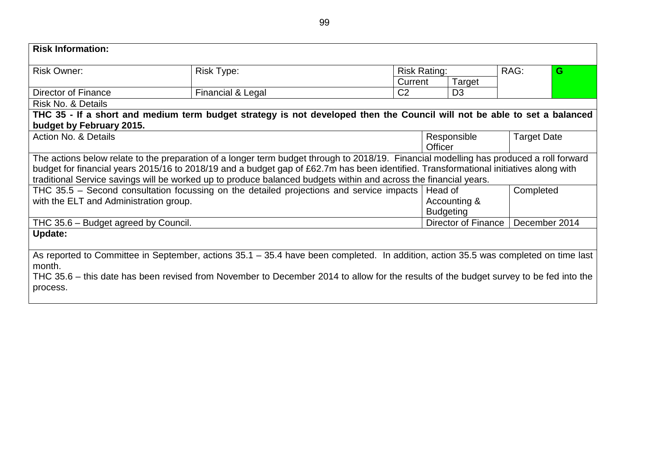| <b>Risk Information:</b>               |                                                                                                                                         |                     |                     |                    |   |
|----------------------------------------|-----------------------------------------------------------------------------------------------------------------------------------------|---------------------|---------------------|--------------------|---|
| Risk Owner:                            | Risk Type:                                                                                                                              | <b>Risk Rating:</b> |                     | RAG:               | G |
|                                        |                                                                                                                                         | Current             | Target              |                    |   |
| Director of Finance                    | Financial & Legal                                                                                                                       | C <sub>2</sub>      | D <sub>3</sub>      |                    |   |
| <b>Risk No. &amp; Details</b>          |                                                                                                                                         |                     |                     |                    |   |
|                                        | THC 35 - If a short and medium term budget strategy is not developed then the Council will not be able to set a balanced                |                     |                     |                    |   |
| budget by February 2015.               |                                                                                                                                         |                     |                     |                    |   |
| Action No. & Details                   |                                                                                                                                         |                     | Responsible         | <b>Target Date</b> |   |
|                                        |                                                                                                                                         |                     | Officer             |                    |   |
|                                        | The actions below relate to the preparation of a longer term budget through to 2018/19. Financial modelling has produced a roll forward |                     |                     |                    |   |
|                                        | budget for financial years 2015/16 to 2018/19 and a budget gap of £62.7m has been identified. Transformational initiatives along with   |                     |                     |                    |   |
|                                        | traditional Service savings will be worked up to produce balanced budgets within and across the financial years.                        |                     |                     |                    |   |
|                                        | THC 35.5 – Second consultation focussing on the detailed projections and service impacts                                                |                     | Head of             | Completed          |   |
| with the ELT and Administration group. |                                                                                                                                         |                     | Accounting &        |                    |   |
|                                        |                                                                                                                                         |                     | <b>Budgeting</b>    |                    |   |
| THC 35.6 – Budget agreed by Council.   |                                                                                                                                         |                     | Director of Finance | December 2014      |   |
| Update:                                |                                                                                                                                         |                     |                     |                    |   |
|                                        |                                                                                                                                         |                     |                     |                    |   |
| month.                                 | As reported to Committee in September, actions 35.1 – 35.4 have been completed. In addition, action 35.5 was completed on time last     |                     |                     |                    |   |
|                                        | THC 35.6 – this date has been revised from November to December 2014 to allow for the results of the budget survey to be fed into the   |                     |                     |                    |   |
| process.                               |                                                                                                                                         |                     |                     |                    |   |
|                                        |                                                                                                                                         |                     |                     |                    |   |
|                                        |                                                                                                                                         |                     |                     |                    |   |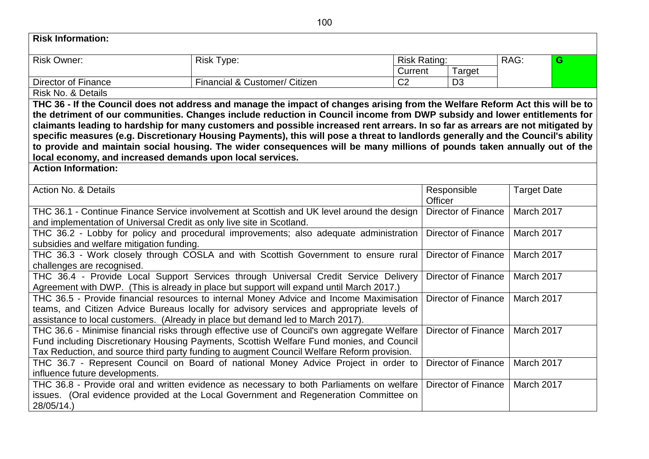|                                                                                            | 100                                                                                                                                                                                 |                     |                                   |                    |   |
|--------------------------------------------------------------------------------------------|-------------------------------------------------------------------------------------------------------------------------------------------------------------------------------------|---------------------|-----------------------------------|--------------------|---|
| <b>Risk Information:</b>                                                                   |                                                                                                                                                                                     |                     |                                   |                    |   |
| <b>Risk Owner:</b>                                                                         | <b>Risk Type:</b>                                                                                                                                                                   | <b>Risk Rating:</b> |                                   | RAG:               | G |
|                                                                                            |                                                                                                                                                                                     | Current             | Target                            |                    |   |
| <b>Director of Finance</b>                                                                 | Financial & Customer/ Citizen                                                                                                                                                       | C <sub>2</sub>      | D <sub>3</sub>                    |                    |   |
| Risk No. & Details                                                                         |                                                                                                                                                                                     |                     |                                   |                    |   |
|                                                                                            | THC 36 - If the Council does not address and manage the impact of changes arising from the Welfare Reform Act this will be to                                                       |                     |                                   |                    |   |
|                                                                                            | the detriment of our communities. Changes include reduction in Council income from DWP subsidy and lower entitlements for                                                           |                     |                                   |                    |   |
|                                                                                            | claimants leading to hardship for many customers and possible increased rent arrears. In so far as arrears are not mitigated by                                                     |                     |                                   |                    |   |
|                                                                                            | specific measures (e.g. Discretionary Housing Payments), this will pose a threat to landlords generally and the Council's ability                                                   |                     |                                   |                    |   |
|                                                                                            | to provide and maintain social housing. The wider consequences will be many millions of pounds taken annually out of the                                                            |                     |                                   |                    |   |
| local economy, and increased demands upon local services.<br><b>Action Information:</b>    |                                                                                                                                                                                     |                     |                                   |                    |   |
|                                                                                            |                                                                                                                                                                                     |                     |                                   |                    |   |
| Action No. & Details                                                                       |                                                                                                                                                                                     |                     | Responsible                       | <b>Target Date</b> |   |
|                                                                                            |                                                                                                                                                                                     |                     | Officer                           |                    |   |
| THC 36.1 - Continue Finance Service involvement at Scottish and UK level around the design |                                                                                                                                                                                     |                     | Director of Finance<br>March 2017 |                    |   |
| and implementation of Universal Credit as only live site in Scotland.                      |                                                                                                                                                                                     |                     |                                   |                    |   |
|                                                                                            | THC 36.2 - Lobby for policy and procedural improvements; also adequate administration                                                                                               |                     | <b>Director of Finance</b>        | March 2017         |   |
| subsidies and welfare mitigation funding.                                                  |                                                                                                                                                                                     |                     |                                   |                    |   |
|                                                                                            | THC 36.3 - Work closely through COSLA and with Scottish Government to ensure rural                                                                                                  |                     | <b>Director of Finance</b>        | March 2017         |   |
| challenges are recognised.                                                                 |                                                                                                                                                                                     |                     |                                   |                    |   |
|                                                                                            | THC 36.4 - Provide Local Support Services through Universal Credit Service Delivery                                                                                                 |                     | <b>Director of Finance</b>        | March 2017         |   |
|                                                                                            | Agreement with DWP. (This is already in place but support will expand until March 2017.)<br>THC 36.5 - Provide financial resources to internal Money Advice and Income Maximisation |                     | <b>Director of Finance</b>        | March 2017         |   |
|                                                                                            | teams, and Citizen Advice Bureaus locally for advisory services and appropriate levels of                                                                                           |                     |                                   |                    |   |
|                                                                                            | assistance to local customers. (Already in place but demand led to March 2017).                                                                                                     |                     |                                   |                    |   |
|                                                                                            | THC 36.6 - Minimise financial risks through effective use of Council's own aggregate Welfare                                                                                        |                     | <b>Director of Finance</b>        | March 2017         |   |
|                                                                                            | Fund including Discretionary Housing Payments, Scottish Welfare Fund monies, and Council                                                                                            |                     |                                   |                    |   |
|                                                                                            | Tax Reduction, and source third party funding to augment Council Welfare Reform provision.                                                                                          |                     |                                   |                    |   |
|                                                                                            | THC 36.7 - Represent Council on Board of national Money Advice Project in order to                                                                                                  |                     | <b>Director of Finance</b>        | March 2017         |   |
| influence future developments.                                                             |                                                                                                                                                                                     |                     |                                   |                    |   |
|                                                                                            | THC 36.8 - Provide oral and written evidence as necessary to both Parliaments on welfare                                                                                            |                     | <b>Director of Finance</b>        | March 2017         |   |
|                                                                                            | issues. (Oral evidence provided at the Local Government and Regeneration Committee on                                                                                               |                     |                                   |                    |   |
| 28/05/14.)                                                                                 |                                                                                                                                                                                     |                     |                                   |                    |   |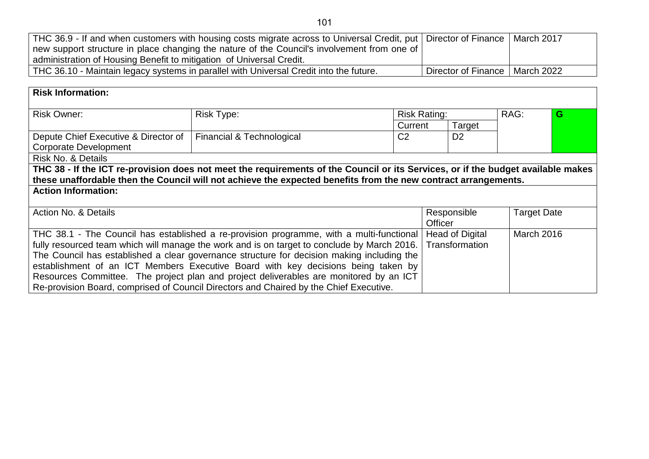| THC 36.9 - If and when customers with housing costs migrate across to Universal Credit, put   Director of Finance   March 2017 |                                  |  |
|--------------------------------------------------------------------------------------------------------------------------------|----------------------------------|--|
| new support structure in place changing the nature of the Council's involvement from one of                                    |                                  |  |
| administration of Housing Benefit to mitigation of Universal Credit.                                                           |                                  |  |
| THC 36.10 - Maintain legacy systems in parallel with Universal Credit into the future.                                         | Director of Finance   March 2022 |  |

| <b>Risk Information:</b>                                                                                                         |                           |                     |                        |                    |   |
|----------------------------------------------------------------------------------------------------------------------------------|---------------------------|---------------------|------------------------|--------------------|---|
| <b>Risk Owner:</b>                                                                                                               | <b>Risk Type:</b>         | <b>Risk Rating:</b> |                        | RAG:               | G |
|                                                                                                                                  |                           | Current             | Target                 |                    |   |
| Depute Chief Executive & Director of                                                                                             | Financial & Technological | C <sub>2</sub>      | D <sub>2</sub>         |                    |   |
| <b>Corporate Development</b>                                                                                                     |                           |                     |                        |                    |   |
| <b>Risk No. &amp; Details</b>                                                                                                    |                           |                     |                        |                    |   |
| THC 38 - If the ICT re-provision does not meet the requirements of the Council or its Services, or if the budget available makes |                           |                     |                        |                    |   |
| these unaffordable then the Council will not achieve the expected benefits from the new contract arrangements.                   |                           |                     |                        |                    |   |
| <b>Action Information:</b>                                                                                                       |                           |                     |                        |                    |   |
|                                                                                                                                  |                           |                     |                        |                    |   |
| Action No. & Details                                                                                                             |                           |                     | Responsible            | <b>Target Date</b> |   |
|                                                                                                                                  |                           |                     | <b>Officer</b>         |                    |   |
| THC 38.1 - The Council has established a re-provision programme, with a multi-functional                                         |                           |                     | <b>Head of Digital</b> | March 2016         |   |
| fully resourced team which will manage the work and is on target to conclude by March 2016.                                      |                           |                     | Transformation         |                    |   |
| The Council has established a clear governance structure for decision making including the                                       |                           |                     |                        |                    |   |
| establishment of an ICT Members Executive Board with key decisions being taken by                                                |                           |                     |                        |                    |   |
| Resources Committee. The project plan and project deliverables are monitored by an ICT                                           |                           |                     |                        |                    |   |
| Re-provision Board, comprised of Council Directors and Chaired by the Chief Executive.                                           |                           |                     |                        |                    |   |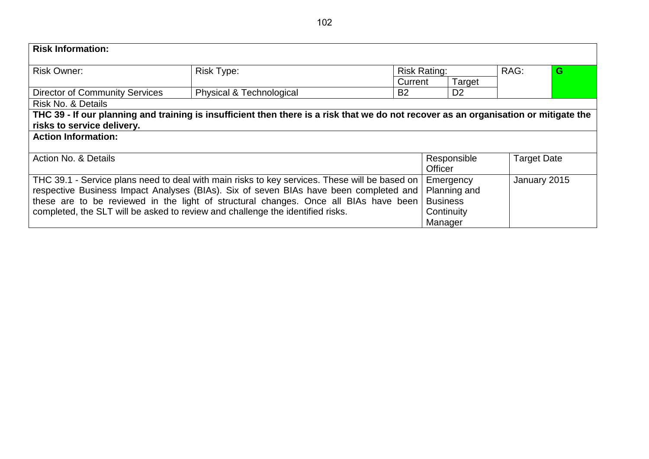| <b>Risk Information:</b>                                                                                                                                                                                                                                                                                                                                         |                                                                                                                                      |                     |                                                                       |  |                    |
|------------------------------------------------------------------------------------------------------------------------------------------------------------------------------------------------------------------------------------------------------------------------------------------------------------------------------------------------------------------|--------------------------------------------------------------------------------------------------------------------------------------|---------------------|-----------------------------------------------------------------------|--|--------------------|
| <b>Risk Owner:</b>                                                                                                                                                                                                                                                                                                                                               | <b>Risk Type:</b>                                                                                                                    | <b>Risk Rating:</b> | RAG:                                                                  |  | G                  |
|                                                                                                                                                                                                                                                                                                                                                                  |                                                                                                                                      | Current             | Target                                                                |  |                    |
| <b>Director of Community Services</b>                                                                                                                                                                                                                                                                                                                            | <b>Physical &amp; Technological</b>                                                                                                  | <b>B2</b>           | D <sub>2</sub>                                                        |  |                    |
| <b>Risk No. &amp; Details</b>                                                                                                                                                                                                                                                                                                                                    |                                                                                                                                      |                     |                                                                       |  |                    |
| risks to service delivery.<br><b>Action Information:</b>                                                                                                                                                                                                                                                                                                         | THC 39 - If our planning and training is insufficient then there is a risk that we do not recover as an organisation or mitigate the |                     |                                                                       |  |                    |
|                                                                                                                                                                                                                                                                                                                                                                  |                                                                                                                                      |                     |                                                                       |  |                    |
| Action No. & Details                                                                                                                                                                                                                                                                                                                                             |                                                                                                                                      |                     | Responsible<br><b>Officer</b>                                         |  | <b>Target Date</b> |
| THC 39.1 - Service plans need to deal with main risks to key services. These will be based on<br>respective Business Impact Analyses (BIAs). Six of seven BIAs have been completed and<br>these are to be reviewed in the light of structural changes. Once all BIAs have been<br>completed, the SLT will be asked to review and challenge the identified risks. |                                                                                                                                      |                     | Emergency<br>Planning and<br><b>Business</b><br>Continuity<br>Manager |  | January 2015       |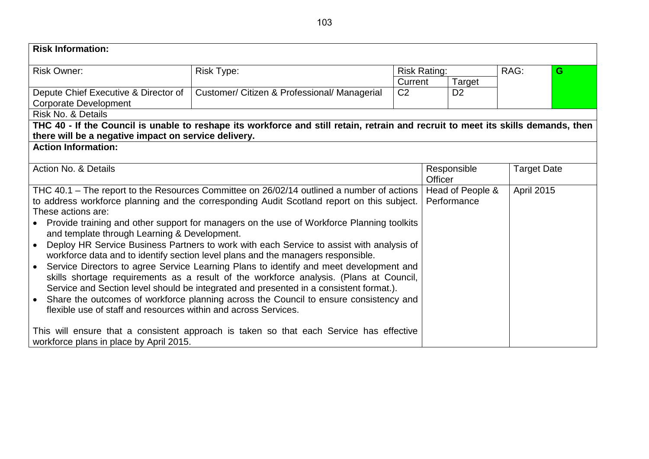| <b>Risk Information:</b>                                             |                                                                                                                                   |                |                        |                |                     |                    |      |  |  |  |   |
|----------------------------------------------------------------------|-----------------------------------------------------------------------------------------------------------------------------------|----------------|------------------------|----------------|---------------------|--------------------|------|--|--|--|---|
| <b>Risk Owner:</b>                                                   | Risk Type:                                                                                                                        |                |                        |                | <b>Risk Rating:</b> |                    | RAG: |  |  |  | G |
|                                                                      |                                                                                                                                   | Current        |                        | Target         |                     |                    |      |  |  |  |   |
| Depute Chief Executive & Director of<br><b>Corporate Development</b> | Customer/ Citizen & Professional/ Managerial                                                                                      | C <sub>2</sub> |                        | D <sub>2</sub> |                     |                    |      |  |  |  |   |
| Risk No. & Details                                                   |                                                                                                                                   |                |                        |                |                     |                    |      |  |  |  |   |
|                                                                      | THC 40 - If the Council is unable to reshape its workforce and still retain, retrain and recruit to meet its skills demands, then |                |                        |                |                     |                    |      |  |  |  |   |
| there will be a negative impact on service delivery.                 |                                                                                                                                   |                |                        |                |                     |                    |      |  |  |  |   |
| <b>Action Information:</b>                                           |                                                                                                                                   |                |                        |                |                     |                    |      |  |  |  |   |
|                                                                      |                                                                                                                                   |                |                        |                |                     |                    |      |  |  |  |   |
| Action No. & Details                                                 |                                                                                                                                   |                | Responsible<br>Officer |                |                     | <b>Target Date</b> |      |  |  |  |   |
|                                                                      | THC 40.1 – The report to the Resources Committee on 26/02/14 outlined a number of actions                                         |                | Head of People &       |                |                     | <b>April 2015</b>  |      |  |  |  |   |
|                                                                      | to address workforce planning and the corresponding Audit Scotland report on this subject.                                        |                |                        | Performance    |                     |                    |      |  |  |  |   |
| These actions are:                                                   |                                                                                                                                   |                |                        |                |                     |                    |      |  |  |  |   |
| $\bullet$<br>and template through Learning & Development.            | Provide training and other support for managers on the use of Workforce Planning toolkits                                         |                |                        |                |                     |                    |      |  |  |  |   |
|                                                                      | Deploy HR Service Business Partners to work with each Service to assist with analysis of                                          |                |                        |                |                     |                    |      |  |  |  |   |
|                                                                      | workforce data and to identify section level plans and the managers responsible.                                                  |                |                        |                |                     |                    |      |  |  |  |   |
| $\bullet$                                                            | Service Directors to agree Service Learning Plans to identify and meet development and                                            |                |                        |                |                     |                    |      |  |  |  |   |
|                                                                      | skills shortage requirements as a result of the workforce analysis. (Plans at Council,                                            |                |                        |                |                     |                    |      |  |  |  |   |
|                                                                      | Service and Section level should be integrated and presented in a consistent format.).                                            |                |                        |                |                     |                    |      |  |  |  |   |
| $\bullet$                                                            | Share the outcomes of workforce planning across the Council to ensure consistency and                                             |                |                        |                |                     |                    |      |  |  |  |   |
| flexible use of staff and resources within and across Services.      |                                                                                                                                   |                |                        |                |                     |                    |      |  |  |  |   |
|                                                                      |                                                                                                                                   |                |                        |                |                     |                    |      |  |  |  |   |
|                                                                      | This will ensure that a consistent approach is taken so that each Service has effective                                           |                |                        |                |                     |                    |      |  |  |  |   |
| workforce plans in place by April 2015.                              |                                                                                                                                   |                |                        |                |                     |                    |      |  |  |  |   |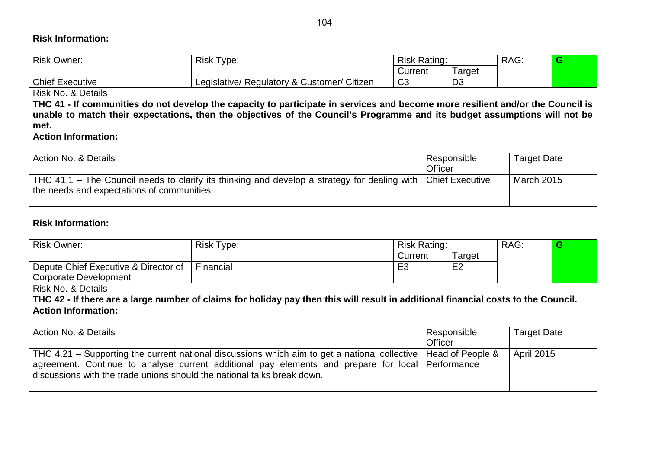| <b>Risk Owner:</b>                         | <b>Risk Type:</b>                                                                                                              | <b>Risk Rating:</b> |                        | RAG:               | G |
|--------------------------------------------|--------------------------------------------------------------------------------------------------------------------------------|---------------------|------------------------|--------------------|---|
|                                            |                                                                                                                                | Current             | Target                 |                    |   |
| <b>Chief Executive</b>                     | Legislative/ Regulatory & Customer/ Citizen                                                                                    | C <sub>3</sub>      | D <sub>3</sub>         |                    |   |
| Risk No. & Details                         |                                                                                                                                |                     |                        |                    |   |
|                                            | THC 41 - If communities do not develop the capacity to participate in services and become more resilient and/or the Council is |                     |                        |                    |   |
|                                            |                                                                                                                                |                     |                        |                    |   |
|                                            | unable to match their expectations, then the objectives of the Council's Programme and its budget assumptions will not be      |                     |                        |                    |   |
| met.                                       |                                                                                                                                |                     |                        |                    |   |
| <b>Action Information:</b>                 |                                                                                                                                |                     |                        |                    |   |
|                                            |                                                                                                                                |                     |                        |                    |   |
| Action No. & Details                       |                                                                                                                                |                     | Responsible            | <b>Target Date</b> |   |
|                                            |                                                                                                                                |                     | <b>Officer</b>         |                    |   |
|                                            | THC 41.1 – The Council needs to clarify its thinking and develop a strategy for dealing with                                   |                     | <b>Chief Executive</b> | <b>March 2015</b>  |   |
| the needs and expectations of communities. |                                                                                                                                |                     |                        |                    |   |

| <b>Risk Owner:</b>                                                                                                                 | <b>Risk Type:</b> | <b>Risk Rating:</b> |                                   | RAG:              | G |  |  |  |  |
|------------------------------------------------------------------------------------------------------------------------------------|-------------------|---------------------|-----------------------------------|-------------------|---|--|--|--|--|
|                                                                                                                                    |                   | Current             | Target                            |                   |   |  |  |  |  |
| Depute Chief Executive & Director of                                                                                               | Financial         | E <sub>3</sub>      | E <sub>2</sub>                    |                   |   |  |  |  |  |
| <b>Corporate Development</b>                                                                                                       |                   |                     |                                   |                   |   |  |  |  |  |
| Risk No. & Details                                                                                                                 |                   |                     |                                   |                   |   |  |  |  |  |
| THC 42 - If there are a large number of claims for holiday pay then this will result in additional financial costs to the Council. |                   |                     |                                   |                   |   |  |  |  |  |
| <b>Action Information:</b>                                                                                                         |                   |                     |                                   |                   |   |  |  |  |  |
|                                                                                                                                    |                   |                     |                                   |                   |   |  |  |  |  |
| Action No. & Details                                                                                                               |                   |                     | <b>Target Date</b><br>Responsible |                   |   |  |  |  |  |
|                                                                                                                                    |                   |                     | Officer                           |                   |   |  |  |  |  |
| THC 4.21 – Supporting the current national discussions which aim to get a national collective                                      |                   |                     | Head of People &                  | <b>April 2015</b> |   |  |  |  |  |
| agreement. Continue to analyse current additional pay elements and prepare for local                                               |                   |                     | Performance                       |                   |   |  |  |  |  |
| discussions with the trade unions should the national talks break down.                                                            |                   |                     |                                   |                   |   |  |  |  |  |